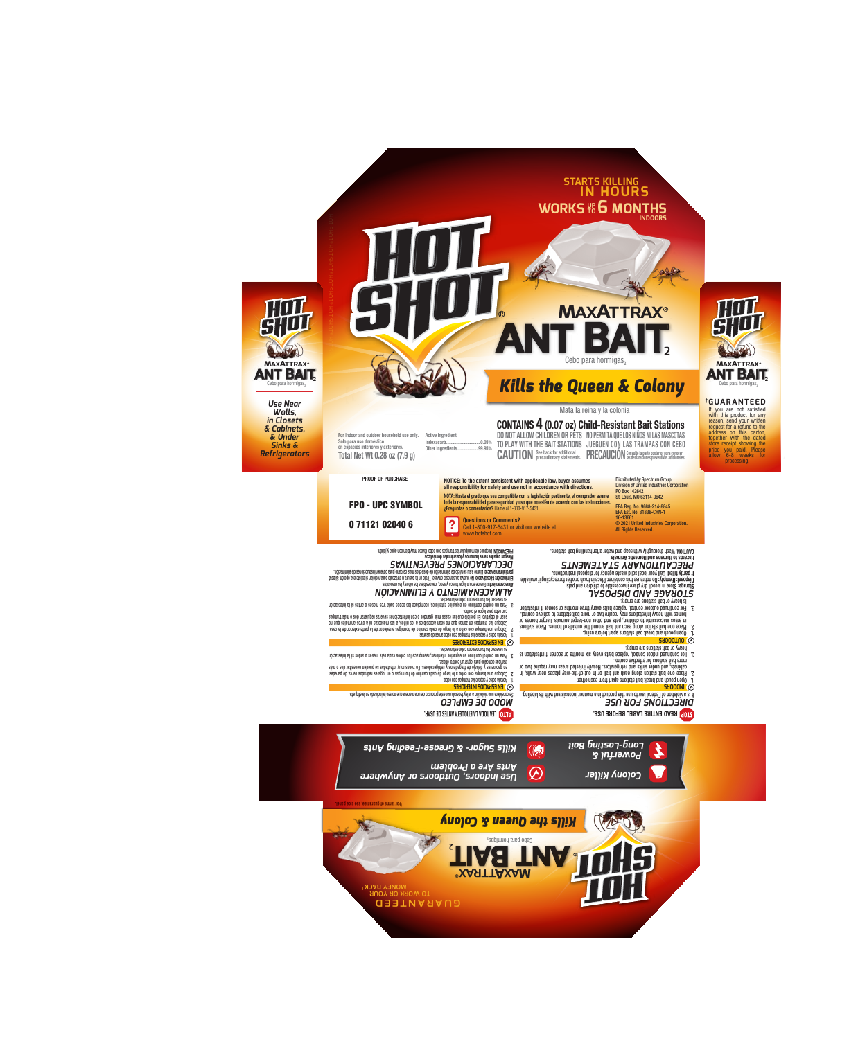#### **WORKS**  $\%$  **6 MONTHS INDOORS STARTS KILLING IN HOURS**

**MAXATTRAX**



If you are not satisfied<br>with this product for any<br>reason, send your written<br>request for a refund to the address on this carton,<br>store receipt showing the<br>price you paid. Please<br>allow 6-8 weeks for<br>processing. †**GUARANTEED**

# Mata la reina y la colonia

*Kills the Oueen & Colony*

Cebo para hormigas.

**ANT BAIT2**

NO PERMITA QUE LOS NIÑOS NI LAS MASCOTAS JUEGUEN CON LAS TRAMPAS CON CEBO Total Net Wt 0.28 oz (7.9 g) consulte a parte posterior para conocer control CAUTION See back for additional that the precaution and the parte posterior para conocer control of the CAUTION See back for additional statement CONTAINS 4 (0.07 oz) Child-Resistant Bait Stations

> PO Box 142642 St. Louis, MO 63114-0642 EPA Reg. No. 9688-214-8845 EPA Est. No. 81838-CHN-1

16-13661

*PRECAUTIONARY STATEMENTS* lazards to Humans alsminA oiteannad bins annuh of abnessly.<br>Rooitste tied prilibrish that when also thiw yinguoroit dasw.

It is a violation of Federal law fo use this product in a manner inconsistent with its labeling.<br>**DIRECTIONS FOR USE** 

1. Open pouch and break bait stations apart from each other. 2. Place one bait station along each ant trail or in out-of-the-way places near walls, in more bait stations for effective control.<br>cabinets, and under sinks and refrigerators. Heavily infested areas may require two or 3. For continued indoor control, replace baits every six months or sooner if infestation is heavy or bait stations are empty.

anoliste soal9 .aenod to sbietuo enti trauors listi tra dose grotis trais do soal9 .<br>To semon tepista in standing tepista of the semon transfer of the semon tepista of the semon tepista of the se<br>horizes in standard and th

If partly filled: Call your local solid waste agency for disposal instructions.<br>Disposal: If empty: Do not reuse this container. Place in trash or offer for recycling if available.

Distributed *by* Spectrum Group Division *of* United Industries Corporation

© 2021 United Industries Corporation. All Rights Reserved.

 **OUTDOORS**  1. Open pouch and break bait stations apart before using.

**READ ENTIRE LABEL BEFORE USE.** 

*STORAGE AND DISPOSAL* Storage: Store in a cool, dry place insection of pets. Storage: storage: storage:  $\frac{1}{2}$ 

 **INDOORS**

Active Ingredient: Indoxacarb.............................. 0.05% Other Ingredients... DO NOT ALLOW CHILDREN OR PETS TO PLAY WITH THE BAIT STATIONS

> NOTICE: To the extent consistent with applicable law, buyer assumes all responsibility for safety and use not in accordance with directions.

For indoor and outdoor household use only. Solo para uso doméstico en espacios interiores y exteriores.

PROOF OF PURCHASE

FPO - UPC SYMBOL

0 71121 02040 6

 $\overline{\phantom{a}}$  $\parallel$  $\overline{a}$ 

**MAXATTRAX ANT BAIT** 

*Use Near Walls, in Closets & Cabinets, & Under Sinks & Refrigerators*

> nvue: nasta el grado que sea compatible con la legislación pertinente, el comprador asume<br>toda la responsabilidad para seguridad y uso que no estén de acuerdo con las instrucciones.<br>¿Preguntas o comentarios? Liame al 1-800 Questions or Comments? Call 1-800-917-5431 or visit our website at www.hotshot.com ?



PRECAUCIÓN. Después de manipular las trampas con cebo, lávese muy bien con agua y jabon.

## *DECLARACIONES PREVENTIVAS* Riesgos para los seres humanos y los animales domésticos

Amazonamine the Garabie num ligar freecoy seco, have seed is a force of second response a sected as election of second second second second second second second second second second second second second second second secon

### *ALMACENAMIENTO Y ELIMINACIÓN*

con cebo para logram el control.<br>1992: Para un control control control control control control control control control control control control<br>1998: Para un control control control control control control control control c

- . asso al sb rohatxe shaq al sb robebenia sagimmol sb onimas abas ab ogral ol a odes nos aqmati anu eupoloO. 2<br>on sup ealimmia azoto a in astossam asi a, aoñin aol a seldiascos nase on eup asnorx ne aaqmati asl eupoloO.<br>a
- 1. Abra la bolsa y separe las trampas con cebo antes de usarlas.
- 3. Para un control continuo en espacios interiores, reemplace los cebos cada seis meses o antes si la infestación es severa o las trampas con cebo están vacías.
	-
	- **EN ESPACIOS INTERIORES**

Se considera una violación a la ley federal usar este producto de una manera que no sea la indicada en la etiqueta.





 **EN ESPACIOS EXTERIORES**

- 1. Ábrais basar separe se temperado con cetto.<br>"Seberado se considerado en 1970 de 1970 de 1970 de 2010 control de 1970 de 1970 de 1970 de 1970 de 1970.<br>"Seberado el calego de 1970 de 1970 de 1970 de 1970 de 1970 de 1970 d
	- - - *MODO DE EMPLEO*
			- **LEA TODA LA ETIQUETA ANTES DE USAR.** ALTO